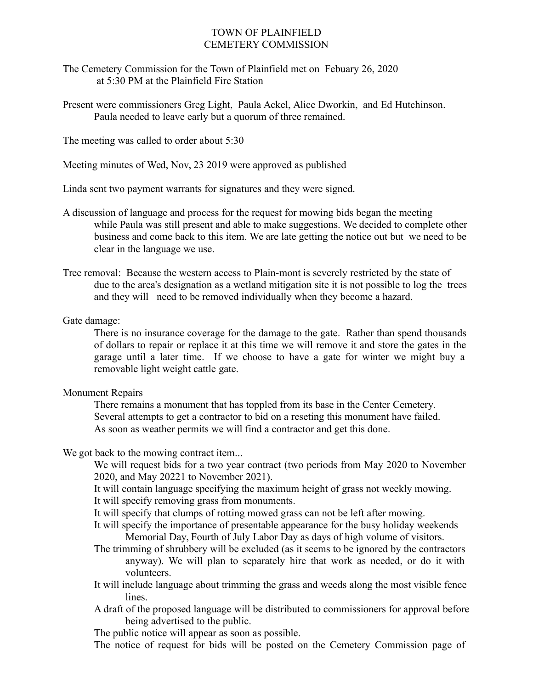## TOWN OF PLAINFIELD CEMETERY COMMISSION

- The Cemetery Commission for the Town of Plainfield met on Febuary 26, 2020 at 5:30 PM at the Plainfield Fire Station
- Present were commissioners Greg Light, Paula Ackel, Alice Dworkin, and Ed Hutchinson. Paula needed to leave early but a quorum of three remained.

The meeting was called to order about 5:30

Meeting minutes of Wed, Nov, 23 2019 were approved as published

Linda sent two payment warrants for signatures and they were signed.

- A discussion of language and process for the request for mowing bids began the meeting while Paula was still present and able to make suggestions. We decided to complete other business and come back to this item. We are late getting the notice out but we need to be clear in the language we use.
- Tree removal: Because the western access to Plain-mont is severely restricted by the state of due to the area's designation as a wetland mitigation site it is not possible to log the trees and they will need to be removed individually when they become a hazard.

## Gate damage:

There is no insurance coverage for the damage to the gate. Rather than spend thousands of dollars to repair or replace it at this time we will remove it and store the gates in the garage until a later time. If we choose to have a gate for winter we might buy a removable light weight cattle gate.

## Monument Repairs

There remains a monument that has toppled from its base in the Center Cemetery. Several attempts to get a contractor to bid on a reseting this monument have failed. As soon as weather permits we will find a contractor and get this done.

We got back to the mowing contract item...

We will request bids for a two year contract (two periods from May 2020 to November 2020, and May 20221 to November 2021).

It will contain language specifying the maximum height of grass not weekly mowing. It will specify removing grass from monuments.

It will specify that clumps of rotting mowed grass can not be left after mowing.

- It will specify the importance of presentable appearance for the busy holiday weekends Memorial Day, Fourth of July Labor Day as days of high volume of visitors.
- The trimming of shrubbery will be excluded (as it seems to be ignored by the contractors anyway). We will plan to separately hire that work as needed, or do it with volunteers.
- It will include language about trimming the grass and weeds along the most visible fence lines.
- A draft of the proposed language will be distributed to commissioners for approval before being advertised to the public.

The public notice will appear as soon as possible.

The notice of request for bids will be posted on the Cemetery Commission page of